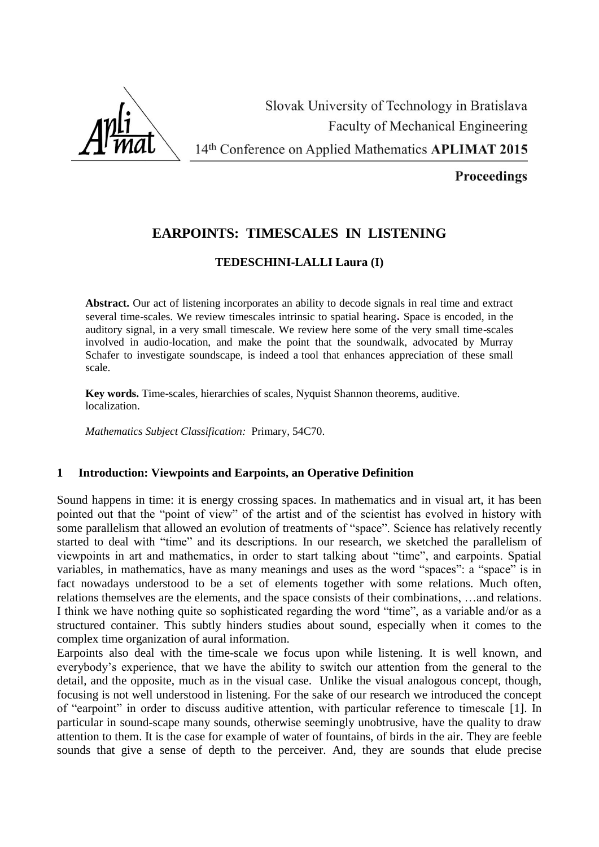

**Proceedings** 

# **EARPOINTS: TIMESCALES IN LISTENING**

# **TEDESCHINI-LALLI Laura (I)**

**Abstract.** Our act of listening incorporates an ability to decode signals in real time and extract several time-scales. We review timescales intrinsic to spatial hearing**.** Space is encoded, in the auditory signal, in a very small timescale. We review here some of the very small time-scales involved in audio-location, and make the point that the soundwalk, advocated by Murray Schafer to investigate soundscape, is indeed a tool that enhances appreciation of these small scale.

**Key words.** Time-scales, hierarchies of scales, Nyquist Shannon theorems, auditive. localization.

*Mathematics Subject Classification:* Primary, 54C70.

# **1 Introduction: Viewpoints and Earpoints, an Operative Definition**

Sound happens in time: it is energy crossing spaces. In mathematics and in visual art, it has been pointed out that the "point of view" of the artist and of the scientist has evolved in history with some parallelism that allowed an evolution of treatments of "space". Science has relatively recently started to deal with "time" and its descriptions. In our research, we sketched the parallelism of viewpoints in art and mathematics, in order to start talking about "time", and earpoints. Spatial variables, in mathematics, have as many meanings and uses as the word "spaces": a "space" is in fact nowadays understood to be a set of elements together with some relations. Much often, relations themselves are the elements, and the space consists of their combinations, …and relations. I think we have nothing quite so sophisticated regarding the word "time", as a variable and/or as a structured container. This subtly hinders studies about sound, especially when it comes to the complex time organization of aural information.

Earpoints also deal with the time-scale we focus upon while listening. It is well known, and everybody's experience, that we have the ability to switch our attention from the general to the detail, and the opposite, much as in the visual case. Unlike the visual analogous concept, though, focusing is not well understood in listening. For the sake of our research we introduced the concept of "earpoint" in order to discuss auditive attention, with particular reference to timescale [1]. In particular in sound-scape many sounds, otherwise seemingly unobtrusive, have the quality to draw attention to them. It is the case for example of water of fountains, of birds in the air. They are feeble sounds that give a sense of depth to the perceiver. And, they are sounds that elude precise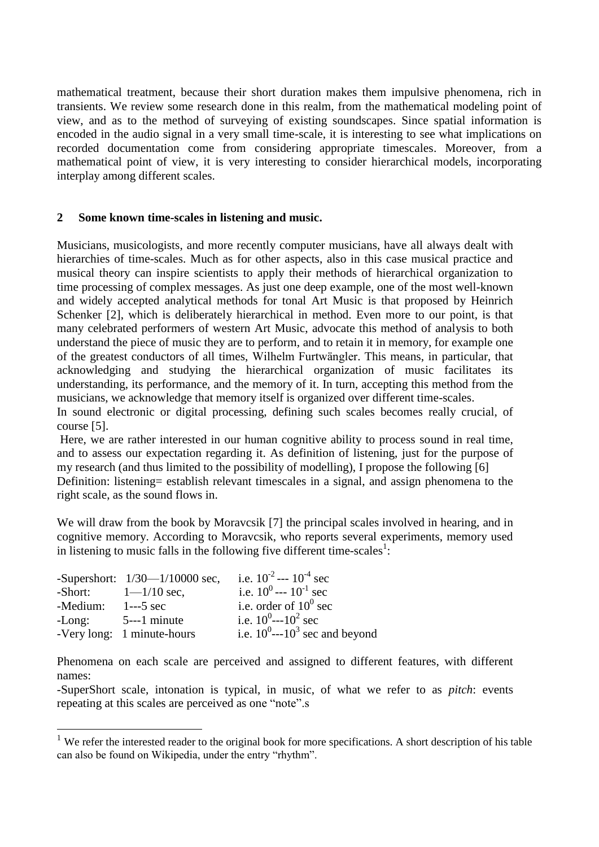mathematical treatment, because their short duration makes them impulsive phenomena, rich in transients. We review some research done in this realm, from the mathematical modeling point of view, and as to the method of surveying of existing soundscapes. Since spatial information is encoded in the audio signal in a very small time-scale, it is interesting to see what implications on recorded documentation come from considering appropriate timescales. Moreover, from a mathematical point of view, it is very interesting to consider hierarchical models, incorporating interplay among different scales.

### **2 Some known time-scales in listening and music.**

Musicians, musicologists, and more recently computer musicians, have all always dealt with hierarchies of time-scales. Much as for other aspects, also in this case musical practice and musical theory can inspire scientists to apply their methods of hierarchical organization to time processing of complex messages. As just one deep example, one of the most well-known and widely accepted analytical methods for tonal Art Music is that proposed by Heinrich Schenker [2], which is deliberately hierarchical in method. Even more to our point, is that many celebrated performers of western Art Music, advocate this method of analysis to both understand the piece of music they are to perform, and to retain it in memory, for example one of the greatest conductors of all times, [Wilhelm Furtwängler.](http://en.wikipedia.org/wiki/Wilhelm_Furtw%C3%A4ngler) This means, in particular, that acknowledging and studying the hierarchical organization of music facilitates its understanding, its performance, and the memory of it. In turn, accepting this method from the musicians, we acknowledge that memory itself is organized over different time-scales.

In sound electronic or digital processing, defining such scales becomes really crucial, of course [5].

Here, we are rather interested in our human cognitive ability to process sound in real time, and to assess our expectation regarding it. As definition of listening, just for the purpose of my research (and thus limited to the possibility of modelling), I propose the following [6] Definition: listening= establish relevant timescales in a signal, and assign phenomena to the right scale, as the sound flows in.

We will draw from the book by [Moravcsik](http://link.springer.com/search?facet-author=%22Michael+J.+Moravcsik%22) [7] the principal scales involved in hearing, and in cognitive memory. According to [Moravcsik,](http://link.springer.com/search?facet-author=%22Michael+J.+Moravcsik%22) who reports several experiments, memory used in listening to music falls in the following five different time-scales<sup>1</sup>:

|                     | -Supershort: $1/30$ — $1/10000$ sec, | i.e. $10^{-2}$ --- $10^{-4}$ sec              |
|---------------------|--------------------------------------|-----------------------------------------------|
|                     | -Short: $1-1/10$ sec,                | i.e. $10^0$ --- $10^{-1}$ sec                 |
| $-Medium: 1--5 sec$ |                                      | i.e. order of $10^0$ sec                      |
|                     | $-Long:$ 5---1 minute                | i.e. $10^0$ ---10 <sup>2</sup> sec            |
|                     | -Very long: 1 minute-hours           | i.e. $10^0$ ---10 <sup>3</sup> sec and beyond |

<u>.</u>

Phenomena on each scale are perceived and assigned to different features, with different names:

-SuperShort scale, intonation is typical, in music, of what we refer to as *pitch*: events repeating at this scales are perceived as one "note".s

<sup>&</sup>lt;sup>1</sup> We refer the interested reader to the original book for more specifications. A short description of his table can also be found on Wikipedia, under the entry "rhythm".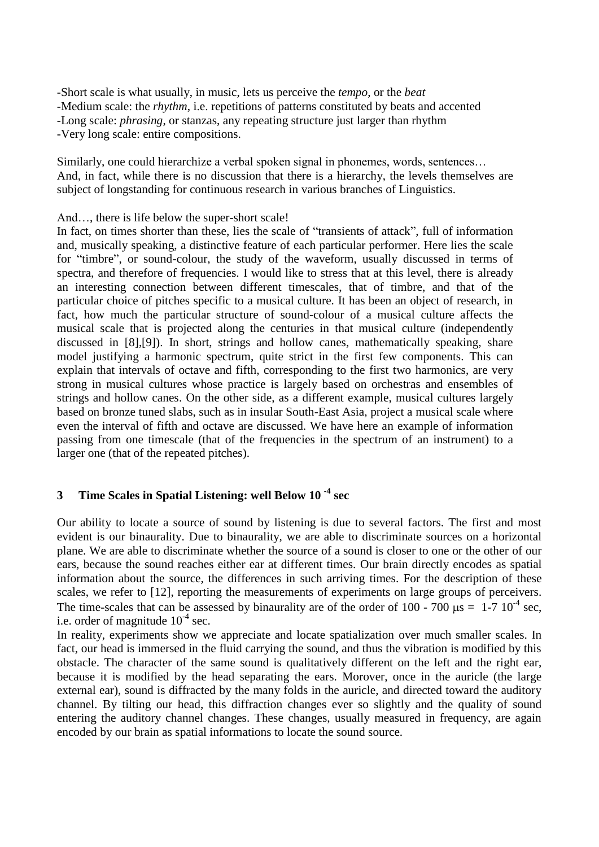-Short scale is what usually, in music, lets us perceive the *tempo*, or the *beat* -Medium scale: the *rhythm*, i.e. repetitions of patterns constituted by beats and accented -Long scale: *phrasing*, or stanzas, any repeating structure just larger than rhythm -Very long scale: entire compositions.

Similarly, one could hierarchize a verbal spoken signal in phonemes, words, sentences… And, in fact, while there is no discussion that there is a hierarchy, the levels themselves are subject of longstanding for continuous research in various branches of Linguistics.

#### And..., there is life below the super-short scale!

In fact, on times shorter than these, lies the scale of "transients of attack", full of information and, musically speaking, a distinctive feature of each particular performer. Here lies the scale for "timbre", or sound-colour, the study of the waveform, usually discussed in terms of spectra, and therefore of frequencies. I would like to stress that at this level, there is already an interesting connection between different timescales, that of timbre, and that of the particular choice of pitches specific to a musical culture. It has been an object of research, in fact, how much the particular structure of sound-colour of a musical culture affects the musical scale that is projected along the centuries in that musical culture (independently discussed in [8],[9]). In short, strings and hollow canes, mathematically speaking, share model justifying a harmonic spectrum, quite strict in the first few components. This can explain that intervals of octave and fifth, corresponding to the first two harmonics, are very strong in musical cultures whose practice is largely based on orchestras and ensembles of strings and hollow canes. On the other side, as a different example, musical cultures largely based on bronze tuned slabs, such as in insular South-East Asia, project a musical scale where even the interval of fifth and octave are discussed. We have here an example of information passing from one timescale (that of the frequencies in the spectrum of an instrument) to a larger one (that of the repeated pitches).

# **3 Time Scales in Spatial Listening: well Below 10 -4 sec**

Our ability to locate a source of sound by listening is due to several factors. The first and most evident is our binaurality. Due to binaurality, we are able to discriminate sources on a horizontal plane. We are able to discriminate whether the source of a sound is closer to one or the other of our ears, because the sound reaches either ear at different times. Our brain directly encodes as spatial information about the source, the differences in such arriving times. For the description of these scales, we refer to [12], reporting the measurements of experiments on large groups of perceivers. The time-scales that can be assessed by binaurality are of the order of 100 - 700  $\mu$ s = 1-7 10<sup>-4</sup> sec, i.e. order of magnitude  $10^{-4}$  sec.

In reality, experiments show we appreciate and locate spatialization over much smaller scales. In fact, our head is immersed in the fluid carrying the sound, and thus the vibration is modified by this obstacle. The character of the same sound is qualitatively different on the left and the right ear, because it is modified by the head separating the ears. Morover, once in the auricle (the large external ear), sound is diffracted by the many folds in the auricle, and directed toward the auditory channel. By tilting our head, this diffraction changes ever so slightly and the quality of sound entering the auditory channel changes. These changes, usually measured in frequency, are again encoded by our brain as spatial informations to locate the sound source.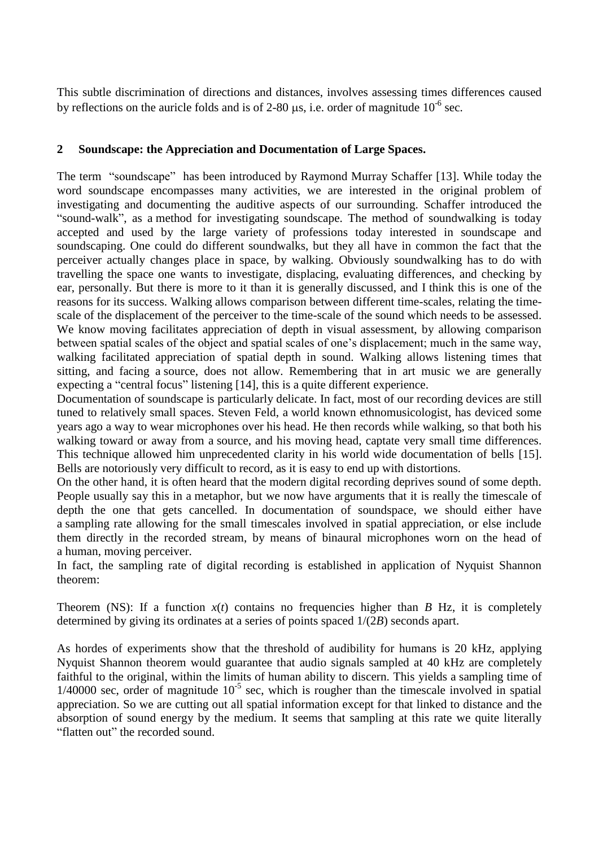This subtle discrimination of directions and distances, involves assessing times differences caused by reflections on the auricle folds and is of 2-80  $\mu$ s, i.e. order of magnitude 10<sup>-6</sup> sec.

# **2 Soundscape: the Appreciation and Documentation of Large Spaces.**

The term "soundscape" has been introduced by Raymond Murray Schaffer [13]. While today the word soundscape encompasses many activities, we are interested in the original problem of investigating and documenting the auditive aspects of our surrounding. Schaffer introduced the "sound-walk", as a method for investigating soundscape. The method of soundwalking is today accepted and used by the large variety of professions today interested in soundscape and soundscaping. One could do different soundwalks, but they all have in common the fact that the perceiver actually changes place in space, by walking. Obviously soundwalking has to do with travelling the space one wants to investigate, displacing, evaluating differences, and checking by ear, personally. But there is more to it than it is generally discussed, and I think this is one of the reasons for its success. Walking allows comparison between different time-scales, relating the timescale of the displacement of the perceiver to the time-scale of the sound which needs to be assessed. We know moving facilitates appreciation of depth in visual assessment, by allowing comparison between spatial scales of the object and spatial scales of one's displacement; much in the same way, walking facilitated appreciation of spatial depth in sound. Walking allows listening times that sitting, and facing a source, does not allow. Remembering that in art music we are generally expecting a "central focus" listening [14], this is a quite different experience.

Documentation of soundscape is particularly delicate. In fact, most of our recording devices are still tuned to relatively small spaces. Steven Feld, a world known ethnomusicologist, has deviced some years ago a way to wear microphones over his head. He then records while walking, so that both his walking toward or away from a source, and his moving head, captate very small time differences. This technique allowed him unprecedented clarity in his world wide documentation of bells [15]. Bells are notoriously very difficult to record, as it is easy to end up with distortions.

On the other hand, it is often heard that the modern digital recording deprives sound of some depth. People usually say this in a metaphor, but we now have arguments that it is really the timescale of depth the one that gets cancelled. In documentation of soundspace, we should either have a sampling rate allowing for the small timescales involved in spatial appreciation, or else include them directly in the recorded stream, by means of binaural microphones worn on the head of a human, moving perceiver.

In fact, the sampling rate of digital recording is established in application of Nyquist Shannon theorem:

Theorem (NS): If a function  $x(t)$  contains no frequencies higher than *B* [Hz,](http://en.wikipedia.org/wiki/Hertz) it is completely determined by giving its ordinates at a series of points spaced 1/(2*B*) seconds apart.

As hordes of experiments show that the threshold of audibility for humans is 20 kHz, applying Nyquist Shannon theorem would guarantee that audio signals sampled at 40 kHz are completely faithful to the original, within the limits of human ability to discern. This yields a sampling time of  $1/40000$  sec, order of magnitude  $10^{-5}$  sec, which is rougher than the timescale involved in spatial appreciation. So we are cutting out all spatial information except for that linked to distance and the absorption of sound energy by the medium. It seems that sampling at this rate we quite literally "flatten out" the recorded sound.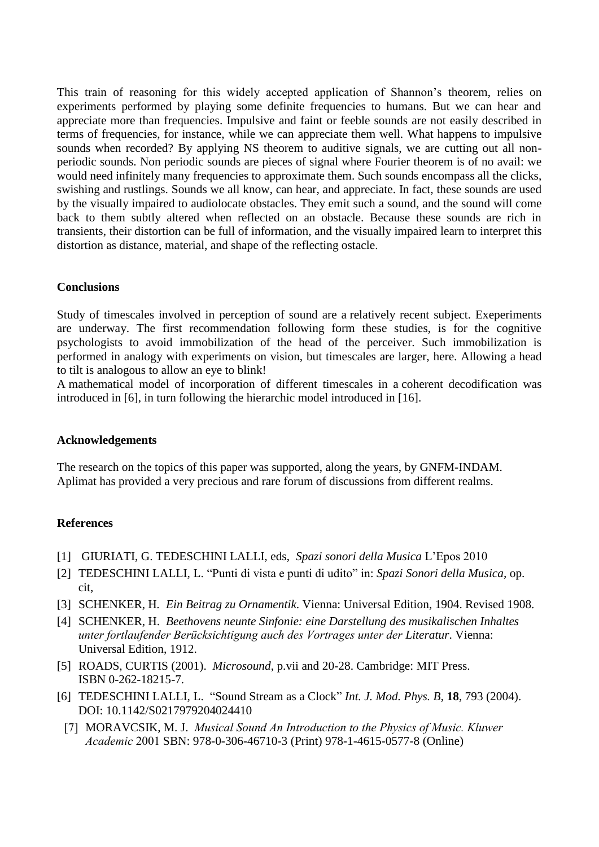This train of reasoning for this widely accepted application of Shannon's theorem, relies on experiments performed by playing some definite frequencies to humans. But we can hear and appreciate more than frequencies. Impulsive and faint or feeble sounds are not easily described in terms of frequencies, for instance, while we can appreciate them well. What happens to impulsive sounds when recorded? By applying NS theorem to auditive signals, we are cutting out all nonperiodic sounds. Non periodic sounds are pieces of signal where Fourier theorem is of no avail: we would need infinitely many frequencies to approximate them. Such sounds encompass all the clicks, swishing and rustlings. Sounds we all know, can hear, and appreciate. In fact, these sounds are used by the visually impaired to audiolocate obstacles. They emit such a sound, and the sound will come back to them subtly altered when reflected on an obstacle. Because these sounds are rich in transients, their distortion can be full of information, and the visually impaired learn to interpret this distortion as distance, material, and shape of the reflecting ostacle.

## **Conclusions**

Study of timescales involved in perception of sound are a relatively recent subject. Exeperiments are underway. The first recommendation following form these studies, is for the cognitive psychologists to avoid immobilization of the head of the perceiver. Such immobilization is performed in analogy with experiments on vision, but timescales are larger, here. Allowing a head to tilt is analogous to allow an eye to blink!

A mathematical model of incorporation of different timescales in a coherent decodification was introduced in [6], in turn following the hierarchic model introduced in [16].

### **Acknowledgements**

The research on the topics of this paper was supported, along the years, by GNFM-INDAM. Aplimat has provided a very precious and rare forum of discussions from different realms.

## **References**

- [1] GIURIATI, G. TEDESCHINI LALLI, eds, *Spazi sonori della Musica* L'Epos 2010
- [2] TEDESCHINI LALLI, L. "Punti di vista e punti di udito" in: *Spazi Sonori della Musica,* op. cit,
- [3] SCHENKER, H*. Ein Beitrag zu Ornamentik*. Vienna: Universal Edition, 1904. Revised 1908.
- [4] SCHENKER, H. *Beethovens neunte Sinfonie: eine Darstellung des musikalischen Inhaltes unter fortlaufender Berücksichtigung auch des Vortrages unter der Literatur*. Vienna: Universal Edition, 1912.
- [5] [ROADS, CURTIS](http://en.wikipedia.org/wiki/Curtis_Roads) (2001). *Microsound*, p.vii and 20-28. Cambridge: MIT Press. [ISBN 0-262-18215-7.](http://en.wikipedia.org/wiki/Special:BookSources/0262182157)
- [6] TEDESCHINI LALLI, L. "Sound Stream as a Clock" *Int. J. Mod. Phys. B*, **18**, 793 (2004). DOI: 10.1142/S0217979204024410
- [7] [MORAVCSIK,](http://link.springer.com/search?facet-author=%22Michael+J.+Moravcsik%22) M. J. *Musical Sound An Introduction to the Physics of Music. Kluwer Academic* 2001 SBN: 978-0-306-46710-3 (Print) 978-1-4615-0577-8 (Online)